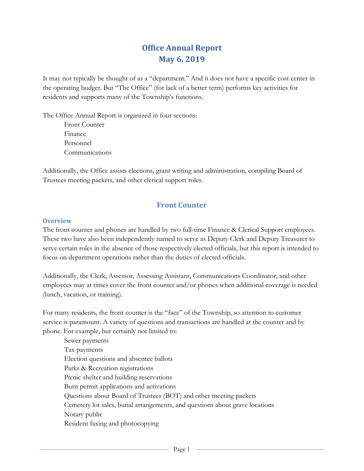# **Office Annual Report May 6, 2019**

It may not typically be thought of as a "department." And it does not have a specific cost center in the operating budget. But "The Office" (for lack of a better term) performs key activities for residents and supports many of the Township's functions.

The Office Annual Report is organized in four sections: Front Counter Finance Personnel

Communications

Additionally, the Office assists elections, grant writing and administration, compiling Board of Trustees meeting packets, and other clerical support roles.

## **Front Counter**

#### **Overview**

The front counter and phones are handled by two full-time Finance & Clerical Support employees. These two have also been independently named to serve as Deputy Clerk and Deputy Treasurer to serve certain roles in the absence of those respectively elected officials, but this report is intended to focus on department operations rather than the duties of elected officials.

Additionally, the Clerk, Assessor, Assessing Assistant, Communications Coordinator, and other employees may at times cover the front counter and/or phones when additional coverage is needed (lunch, vacation, or training).

For many residents, the front counter is the "face" of the Township, so attention to customer service is paramount. A variety of questions and transactions are handled at the counter and by phone. For example, but certainly not limited to:

Sewer payments Tax payments Election questions and absentee ballots Parks & Recreation registrations Picnic shelter and building reservations Burn permit applications and activations Questions about Board of Trustees (BOT) and other meeting packets Cemetery lot sales, burial arrangements, and questions about grave locations Notary public Resident faxing and photocopying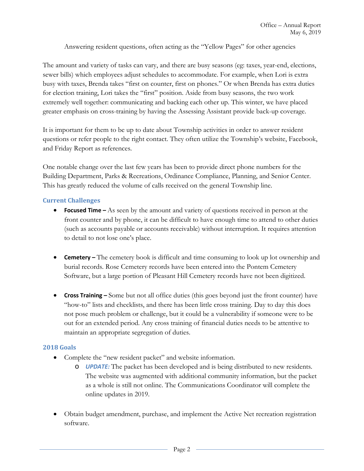Answering resident questions, often acting as the "Yellow Pages" for other agencies

The amount and variety of tasks can vary, and there are busy seasons (eg: taxes, year-end, elections, sewer bills) which employees adjust schedules to accommodate. For example, when Lori is extra busy with taxes, Brenda takes "first on counter, first on phones." Or when Brenda has extra duties for election training, Lori takes the "first" position. Aside from busy seasons, the two work extremely well together: communicating and backing each other up. This winter, we have placed greater emphasis on cross-training by having the Assessing Assistant provide back-up coverage.

It is important for them to be up to date about Township activities in order to answer resident questions or refer people to the right contact. They often utilize the Township's website, Facebook, and Friday Report as references.

One notable change over the last few years has been to provide direct phone numbers for the Building Department, Parks & Recreations, Ordinance Compliance, Planning, and Senior Center. This has greatly reduced the volume of calls received on the general Township line.

#### **Current Challenges**

- **Focused Time –** As seen by the amount and variety of questions received in person at the front counter and by phone, it can be difficult to have enough time to attend to other duties (such as accounts payable or accounts receivable) without interruption. It requires attention to detail to not lose one's place.
- **Cemetery –** The cemetery book is difficult and time consuming to look up lot ownership and burial records. Rose Cemetery records have been entered into the Pontem Cemetery Software, but a large portion of Pleasant Hill Cemetery records have not been digitized.
- **Cross Training –** Some but not all office duties (this goes beyond just the front counter) have "how-to" lists and checklists, and there has been little cross training. Day to day this does not pose much problem or challenge, but it could be a vulnerability if someone were to be out for an extended period. Any cross training of financial duties needs to be attentive to maintain an appropriate segregation of duties.

#### **2018 Goals**

- Complete the "new resident packet" and website information.
	- o *UPDATE:* The packet has been developed and is being distributed to new residents. The website was augmented with additional community information, but the packet as a whole is still not online. The Communications Coordinator will complete the online updates in 2019.
- Obtain budget amendment, purchase, and implement the Active Net recreation registration software.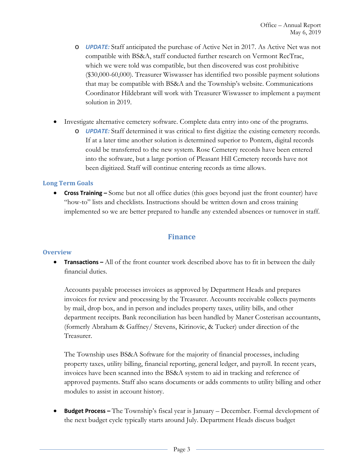- o *UPDATE:* Staff anticipated the purchase of Active Net in 2017. As Active Net was not compatible with BS&A, staff conducted further research on Vermont RecTrac, which we were told was compatible, but then discovered was cost prohibitive (\$30,000-60,000). Treasurer Wiswasser has identified two possible payment solutions that may be compatible with BS&A and the Township's website. Communications Coordinator Hildebrant will work with Treasurer Wiswasser to implement a payment solution in 2019.
- Investigate alternative cemetery software. Complete data entry into one of the programs.
	- o *UPDATE:* Staff determined it was critical to first digitize the existing cemetery records. If at a later time another solution is determined superior to Pontem, digital records could be transferred to the new system. Rose Cemetery records have been entered into the software, but a large portion of Pleasant Hill Cemetery records have not been digitized. Staff will continue entering records as time allows.

#### **Long Term Goals**

• **Cross Training –** Some but not all office duties (this goes beyond just the front counter) have "how-to" lists and checklists. Instructions should be written down and cross training implemented so we are better prepared to handle any extended absences or turnover in staff.

### **Finance**

#### **Overview**

**• Transactions –** All of the front counter work described above has to fit in between the daily financial duties.

Accounts payable processes invoices as approved by Department Heads and prepares invoices for review and processing by the Treasurer. Accounts receivable collects payments by mail, drop box, and in person and includes property taxes, utility bills, and other department receipts. Bank reconciliation has been handled by Maner Costerisan accountants, (formerly Abraham & Gaffney/ Stevens, Kirinovic, & Tucker) under direction of the Treasurer.

The Township uses BS&A Software for the majority of financial processes, including property taxes, utility billing, financial reporting, general ledger, and payroll. In recent years, invoices have been scanned into the BS&A system to aid in tracking and reference of approved payments. Staff also scans documents or adds comments to utility billing and other modules to assist in account history.

• **Budget Process –** The Township's fiscal year is January – December. Formal development of the next budget cycle typically starts around July. Department Heads discuss budget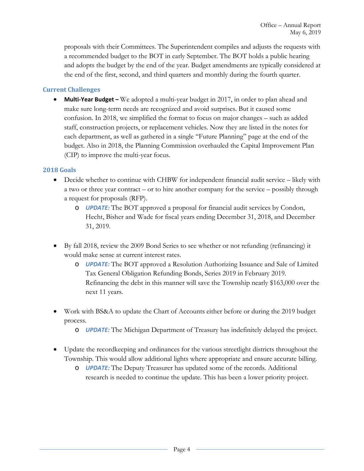proposals with their Committees. The Superintendent compiles and adjusts the requests with a recommended budget to the BOT in early September. The BOT holds a public hearing and adopts the budget by the end of the year. Budget amendments are typically considered at the end of the first, second, and third quarters and monthly during the fourth quarter.

#### **Current Challenges**

• **Multi-Year Budget –** We adopted a multi-year budget in 2017, in order to plan ahead and make sure long-term needs are recognized and avoid surprises. But it caused some confusion. In 2018, we simplified the format to focus on major changes – such as added staff, construction projects, or replacement vehicles. Now they are listed in the notes for each department, as well as gathered in a single "Future Planning" page at the end of the budget. Also in 2018, the Planning Commission overhauled the Capital Improvement Plan (CIP) to improve the multi-year focus.

#### **2018 Goals**

- Decide whether to continue with CHBW for independent financial audit service likely with a two or three year contract – or to hire another company for the service – possibly through a request for proposals (RFP).
	- o *UPDATE:* The BOT approved a proposal for financial audit services by Condon, Hecht, Bisher and Wade for fiscal years ending December 31, 2018, and December 31, 2019.
- By fall 2018, review the 2009 Bond Series to see whether or not refunding (refinancing) it would make sense at current interest rates.
	- o *UPDATE:* The BOT approved a Resolution Authorizing Issuance and Sale of Limited Tax General Obligation Refunding Bonds, Series 2019 in February 2019. Refinancing the debt in this manner will save the Township nearly \$163,000 over the next 11 years.
- Work with BS&A to update the Chart of Accounts either before or during the 2019 budget process.
	- o *UPDATE:* The Michigan Department of Treasury has indefinitely delayed the project.
- Update the recordkeeping and ordinances for the various streetlight districts throughout the Township. This would allow additional lights where appropriate and ensure accurate billing.
	- o *UPDATE:* The Deputy Treasurer has updated some of the records. Additional research is needed to continue the update. This has been a lower priority project.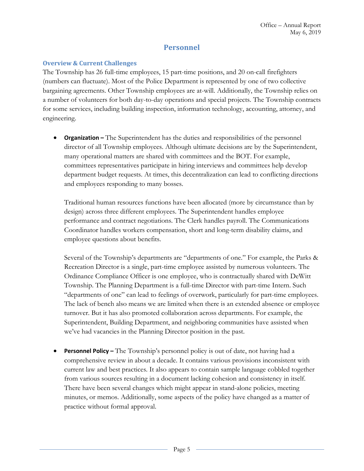## **Personnel**

#### **Overview & Current Challenges**

The Township has 26 full-time employees, 15 part-time positions, and 20 on-call firefighters (numbers can fluctuate). Most of the Police Department is represented by one of two collective bargaining agreements. Other Township employees are at-will. Additionally, the Township relies on a number of volunteers for both day-to-day operations and special projects. The Township contracts for some services, including building inspection, information technology, accounting, attorney, and engineering.

• **Organization –** The Superintendent has the duties and responsibilities of the personnel director of all Township employees. Although ultimate decisions are by the Superintendent, many operational matters are shared with committees and the BOT. For example, committees representatives participate in hiring interviews and committees help develop department budget requests. At times, this decentralization can lead to conflicting directions and employees responding to many bosses.

Traditional human resources functions have been allocated (more by circumstance than by design) across three different employees. The Superintendent handles employee performance and contract negotiations. The Clerk handles payroll. The Communications Coordinator handles workers compensation, short and long-term disability claims, and employee questions about benefits.

Several of the Township's departments are "departments of one." For example, the Parks & Recreation Director is a single, part-time employee assisted by numerous volunteers. The Ordinance Compliance Officer is one employee, who is contractually shared with DeWitt Township. The Planning Department is a full-time Director with part-time Intern. Such "departments of one" can lead to feelings of overwork, particularly for part-time employees. The lack of bench also means we are limited when there is an extended absence or employee turnover. But it has also promoted collaboration across departments. For example, the Superintendent, Building Department, and neighboring communities have assisted when we've had vacancies in the Planning Director position in the past.

• **Personnel Policy –** The Township's personnel policy is out of date, not having had a comprehensive review in about a decade. It contains various provisions inconsistent with current law and best practices. It also appears to contain sample language cobbled together from various sources resulting in a document lacking cohesion and consistency in itself. There have been several changes which might appear in stand-alone policies, meeting minutes, or memos. Additionally, some aspects of the policy have changed as a matter of practice without formal approval.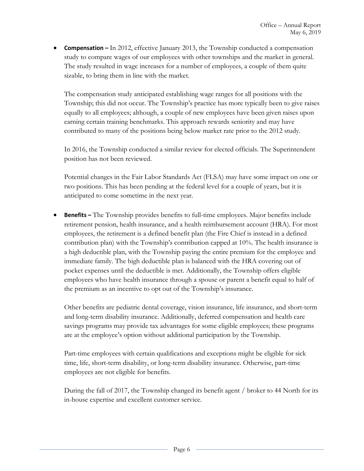• **Compensation –** In 2012, effective January 2013, the Township conducted a compensation study to compare wages of our employees with other townships and the market in general. The study resulted in wage increases for a number of employees, a couple of them quite sizable, to bring them in line with the market.

The compensation study anticipated establishing wage ranges for all positions with the Township; this did not occur. The Township's practice has more typically been to give raises equally to all employees; although, a couple of new employees have been given raises upon earning certain training benchmarks. This approach rewards seniority and may have contributed to many of the positions being below market rate prior to the 2012 study.

In 2016, the Township conducted a similar review for elected officials. The Superintendent position has not been reviewed.

Potential changes in the Fair Labor Standards Act (FLSA) may have some impact on one or two positions. This has been pending at the federal level for a couple of years, but it is anticipated to come sometime in the next year.

• **Benefits –** The Township provides benefits to full-time employees. Major benefits include retirement pension, health insurance, and a health reimbursement account (HRA). For most employees, the retirement is a defined benefit plan (the Fire Chief is instead in a defined contribution plan) with the Township's contribution capped at 10%. The health insurance is a high deductible plan, with the Township paying the entire premium for the employee and immediate family. The high deductible plan is balanced with the HRA covering out of pocket expenses until the deductible is met. Additionally, the Township offers eligible employees who have health insurance through a spouse or parent a benefit equal to half of the premium as an incentive to opt out of the Township's insurance.

Other benefits are pediatric dental coverage, vision insurance, life insurance, and short-term and long-term disability insurance. Additionally, deferred compensation and health care savings programs may provide tax advantages for some eligible employees; these programs are at the employee's option without additional participation by the Township.

Part-time employees with certain qualifications and exceptions might be eligible for sick time, life, short-term disability, or long-term disability insurance. Otherwise, part-time employees are not eligible for benefits.

During the fall of 2017, the Township changed its benefit agent / broker to 44 North for its in-house expertise and excellent customer service.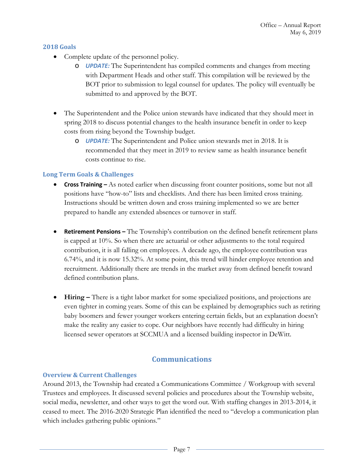#### **2018 Goals**

- Complete update of the personnel policy.
	- o *UPDATE:* The Superintendent has compiled comments and changes from meeting with Department Heads and other staff. This compilation will be reviewed by the BOT prior to submission to legal counsel for updates. The policy will eventually be submitted to and approved by the BOT.
- The Superintendent and the Police union stewards have indicated that they should meet in spring 2018 to discuss potential changes to the health insurance benefit in order to keep costs from rising beyond the Township budget.
	- o *UPDATE:* The Superintendent and Police union stewards met in 2018. It is recommended that they meet in 2019 to review same as health insurance benefit costs continue to rise.

#### **Long Term Goals & Challenges**

- **Cross Training –** As noted earlier when discussing front counter positions, some but not all positions have "how-to" lists and checklists. And there has been limited cross training. Instructions should be written down and cross training implemented so we are better prepared to handle any extended absences or turnover in staff.
- **Retirement Pensions –** The Township's contribution on the defined benefit retirement plans is capped at 10%. So when there are actuarial or other adjustments to the total required contribution, it is all falling on employees. A decade ago, the employee contribution was 6.74%, and it is now 15.32%. At some point, this trend will hinder employee retention and recruitment. Additionally there are trends in the market away from defined benefit toward defined contribution plans.
- **Hiring –** There is a tight labor market for some specialized positions, and projections are even tighter in coming years. Some of this can be explained by demographics such as retiring baby boomers and fewer younger workers entering certain fields, but an explanation doesn't make the reality any easier to cope. Our neighbors have recently had difficulty in hiring licensed sewer operators at SCCMUA and a licensed building inspector in DeWitt.

## **Communications**

#### **Overview & Current Challenges**

Around 2013, the Township had created a Communications Committee / Workgroup with several Trustees and employees. It discussed several policies and procedures about the Township website, social media, newsletter, and other ways to get the word out. With staffing changes in 2013-2014, it ceased to meet. The 2016-2020 Strategic Plan identified the need to "develop a communication plan which includes gathering public opinions."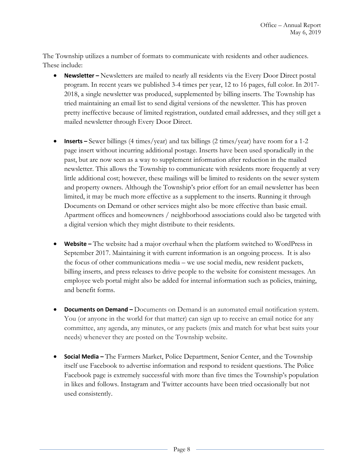The Township utilizes a number of formats to communicate with residents and other audiences. These include:

- **Newsletter –** Newsletters are mailed to nearly all residents via the Every Door Direct postal program. In recent years we published 3-4 times per year, 12 to 16 pages, full color. In 2017- 2018, a single newsletter was produced, supplemented by billing inserts. The Township has tried maintaining an email list to send digital versions of the newsletter. This has proven pretty ineffective because of limited registration, outdated email addresses, and they still get a mailed newsletter through Every Door Direct.
- **Inserts –** Sewer billings (4 times/year) and tax billings (2 times/year) have room for a 1-2 page insert without incurring additional postage. Inserts have been used sporadically in the past, but are now seen as a way to supplement information after reduction in the mailed newsletter. This allows the Township to communicate with residents more frequently at very little additional cost; however, these mailings will be limited to residents on the sewer system and property owners. Although the Township's prior effort for an email newsletter has been limited, it may be much more effective as a supplement to the inserts. Running it through Documents on Demand or other services might also be more effective than basic email. Apartment offices and homeowners / neighborhood associations could also be targeted with a digital version which they might distribute to their residents.
- **Website –** The website had a major overhaul when the platform switched to WordPress in September 2017. Maintaining it with current information is an ongoing process. It is also the focus of other communications media – we use social media, new resident packets, billing inserts, and press releases to drive people to the website for consistent messages. An employee web portal might also be added for internal information such as policies, training, and benefit forms.
- **Documents on Demand –** Documents on Demand is an automated email notification system. You (or anyone in the world for that matter) can sign up to receive an email notice for any committee, any agenda, any minutes, or any packets (mix and match for what best suits your needs) whenever they are posted on the Township website.
- **Social Media –** The Farmers Market, Police Department, Senior Center, and the Township itself use Facebook to advertise information and respond to resident questions. The Police Facebook page is extremely successful with more than five times the Township's population in likes and follows. Instagram and Twitter accounts have been tried occasionally but not used consistently.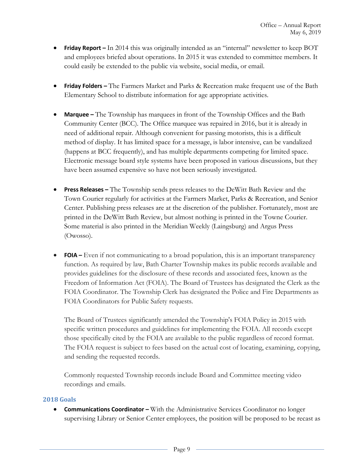- **Friday Report** In 2014 this was originally intended as an "internal" newsletter to keep BOT and employees briefed about operations. In 2015 it was extended to committee members. It could easily be extended to the public via website, social media, or email.
- **Friday Folders –** The Farmers Market and Parks & Recreation make frequent use of the Bath Elementary School to distribute information for age appropriate activities.
- **Marquee –** The Township has marquees in front of the Township Offices and the Bath Community Center (BCC). The Office marquee was repaired in 2016, but it is already in need of additional repair. Although convenient for passing motorists, this is a difficult method of display. It has limited space for a message, is labor intensive, can be vandalized (happens at BCC frequently), and has multiple departments competing for limited space. Electronic message board style systems have been proposed in various discussions, but they have been assumed expensive so have not been seriously investigated.
- **Press Releases –** The Township sends press releases to the DeWitt Bath Review and the Town Courier regularly for activities at the Farmers Market, Parks & Recreation, and Senior Center. Publishing press releases are at the discretion of the publisher. Fortunately, most are printed in the DeWitt Bath Review, but almost nothing is printed in the Towne Courier. Some material is also printed in the Meridian Weekly (Laingsburg) and Argus Press (Owosso).
- **FOIA –** Even if not communicating to a broad population, this is an important transparency function. As required by law, Bath Charter Township makes its public records available and provides guidelines for the disclosure of these records and associated fees, known as the Freedom of Information Act (FOIA). The Board of Trustees has designated the Clerk as the FOIA Coordinator. The Township Clerk has designated the Police and Fire Departments as FOIA Coordinators for Public Safety requests.

The Board of Trustees significantly amended the Township's FOIA Policy in 2015 with specific written procedures and guidelines for implementing the FOIA. All records except those specifically cited by the FOIA are available to the public regardless of record format. The FOIA request is subject to fees based on the actual cost of locating, examining, copying, and sending the requested records.

Commonly requested Township records include Board and Committee meeting video recordings and emails.

#### **2018 Goals**

• **Communications Coordinator –** With the Administrative Services Coordinator no longer supervising Library or Senior Center employees, the position will be proposed to be recast as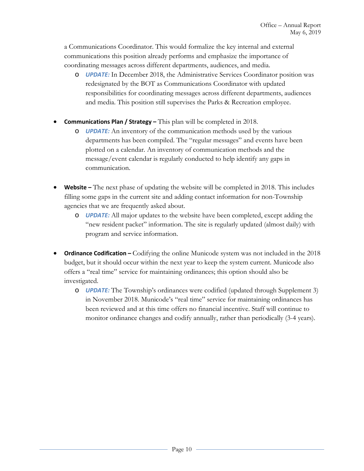a Communications Coordinator. This would formalize the key internal and external communications this position already performs and emphasize the importance of coordinating messages across different departments, audiences, and media.

- o *UPDATE:* In December 2018, the Administrative Services Coordinator position was redesignated by the BOT as Communications Coordinator with updated responsibilities for coordinating messages across different departments, audiences and media. This position still supervises the Parks & Recreation employee.
- **Communications Plan / Strategy –** This plan will be completed in 2018.
	- o *UPDATE:* An inventory of the communication methods used by the various departments has been compiled. The "regular messages" and events have been plotted on a calendar. An inventory of communication methods and the message/event calendar is regularly conducted to help identify any gaps in communication.
- **Website –** The next phase of updating the website will be completed in 2018. This includes filling some gaps in the current site and adding contact information for non-Township agencies that we are frequently asked about.
	- o *UPDATE:* All major updates to the website have been completed, except adding the "new resident packet" information. The site is regularly updated (almost daily) with program and service information.
- **Ordinance Codification –** Codifying the online Municode system was not included in the 2018 budget, but it should occur within the next year to keep the system current. Municode also offers a "real time" service for maintaining ordinances; this option should also be investigated.
	- o *UPDATE:* The Township's ordinances were codified (updated through Supplement 3) in November 2018. Municode's "real time" service for maintaining ordinances has been reviewed and at this time offers no financial incentive. Staff will continue to monitor ordinance changes and codify annually, rather than periodically (3-4 years).